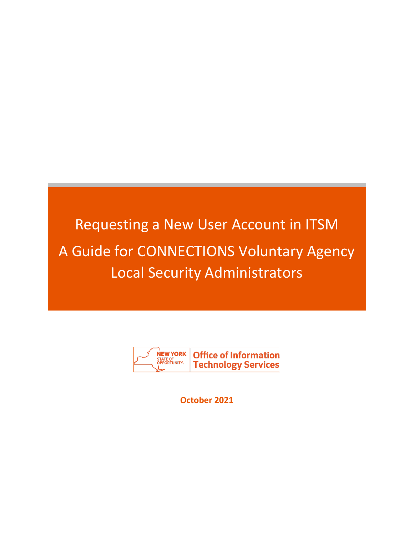# Requesting a New User Account in ITSM A Guide for CONNECTIONS Voluntary Agency Local Security Administrators



**October 2021**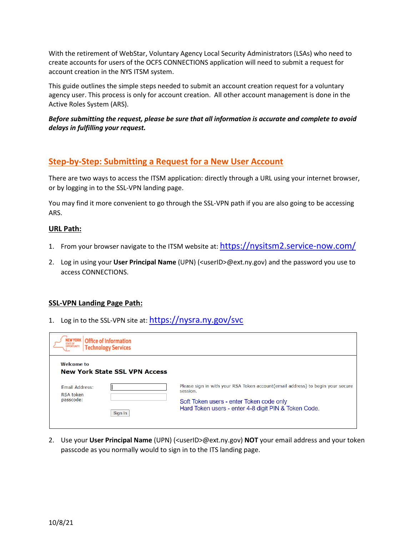With the retirement of WebStar, Voluntary Agency Local Security Administrators (LSAs) who need to create accounts for users of the OCFS CONNECTIONS application will need to submit a request for account creation in the NYS ITSM system.

This guide outlines the simple steps needed to submit an account creation request for a voluntary agency user. This process is only for account creation. All other account management is done in the Active Roles System (ARS).

## *Before submitting the request, please be sure that all information is accurate and complete to avoid delays in fulfilling your request.*

# **Step-by-Step: Submitting a Request for a New User Account**

There are two ways to access the ITSM application: directly through a URL using your internet browser, or by logging in to the SSL-VPN landing page.

You may find it more convenient to go through the SSL-VPN path if you are also going to be accessing ARS.

#### **URL Path:**

- 1. From your browser navigate to the ITSM website at: <https://nysitsm2.service-now.com/>
- 2. Log in using your **User Principal Name** (UPN) (<userID>@ext.ny.gov) and the password you use to access CONNECTIONS.

## **SSL-VPN Landing Page Path:**

1. Log in to the SSL-VPN site at: <https://nysra.ny.gov/svc>

| <b>NEW YORK</b>                            | <b>Office of Information</b><br><b>Technology Services</b> |                                                                                                  |
|--------------------------------------------|------------------------------------------------------------|--------------------------------------------------------------------------------------------------|
| <b>Welcome to</b><br><b>Email Address:</b> | <b>New York State SSL VPN Access</b>                       | Please sign in with your RSA Token account(email address) to begin your secure<br>session.       |
| <b>RSA token</b><br>passcode:              | Sign In                                                    | Soft Token users - enter Token code only<br>Hard Token users - enter 4-8 digit PIN & Token Code. |

2. Use your **User Principal Name** (UPN) (<userID>@ext.ny.gov) **NOT** your email address and your token passcode as you normally would to sign in to the ITS landing page.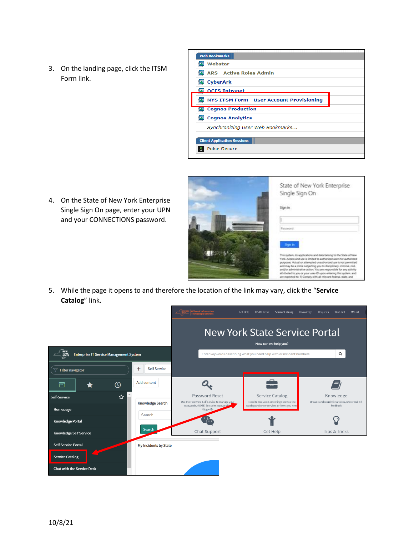3. On the landing page, click the ITSM Form link.



4. On the State of New York Enterprise Single Sign On page, enter your UPN and your CONNECTIONS password.



5. While the page it opens to and therefore the location of the link may vary, click the "**Service Catalog**" link.

|                                                |                               |                                                                | Service Catalog<br>Get Help<br><b>ITSM Classic</b>                    | Knowledge<br>Wish List<br><b>Requests</b><br>$\mathbb{F}$ Cart |
|------------------------------------------------|-------------------------------|----------------------------------------------------------------|-----------------------------------------------------------------------|----------------------------------------------------------------|
|                                                |                               |                                                                | <b>New York State Service Portal</b><br>How can we help you?          |                                                                |
| <b>Enterprise IT Service Management System</b> |                               |                                                                | Enter keywords describing what you need help with or incident numbers | Q                                                              |
| ż<br><b>Filter navigator</b>                   | $^{+}$<br><b>Self Service</b> |                                                                |                                                                       |                                                                |
| 同<br>$\odot$                                   | Add content                   |                                                                | ு                                                                     |                                                                |
| ☆<br>Self-Service                              |                               | Password Reset<br>Use the Password Self Service to manage your | <b>Service Catalog</b><br>Need to Request Something? Browse the       | Knowledge<br>Browse and search for articles, rate or submit    |
| Homepage                                       | <b>Knowledge Search</b>       | passwords. (NOTE: Excludes password.6)<br>NY.gov ID)           | catalog and order services or items you need                          | feedback                                                       |
| <b>Knowledge Portal</b>                        | Search                        |                                                                |                                                                       |                                                                |
| <b>Knowledge Self Service</b>                  | <b>Search</b>                 | Chat Support                                                   | Get Help                                                              | <b>Tips &amp; Tricks</b>                                       |
| <b>Self Service Portal</b>                     | My Incidents by State         |                                                                |                                                                       |                                                                |
| <b>Service Catalog</b>                         |                               |                                                                |                                                                       |                                                                |
| <b>Chat with the Service Desk</b>              |                               |                                                                |                                                                       |                                                                |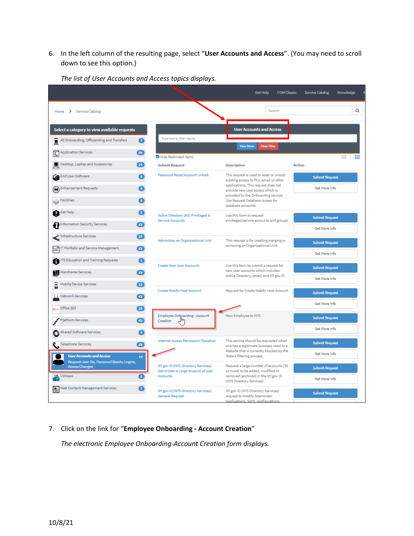6. In the left column of the resulting page, select "**User Accounts and Access**". (You may need to scroll down to see this option.)

|                                                                                                        |                                                                                      | Get Help<br><b>ITSM Classic</b>                                                                                                                              | Service Catalog<br>Knowledge           |
|--------------------------------------------------------------------------------------------------------|--------------------------------------------------------------------------------------|--------------------------------------------------------------------------------------------------------------------------------------------------------------|----------------------------------------|
| Home > Service Catalog                                                                                 |                                                                                      | Search                                                                                                                                                       | Q                                      |
| Select a category to view available requests<br>$\bullet$<br>All Onboarding, Offboarding and Transfers | Type here to filter results                                                          | <b>User Accounts and Access</b>                                                                                                                              |                                        |
| Application Services<br>34                                                                             | Hide Restricted Items                                                                | <b>View More</b><br>Clear Filter                                                                                                                             | 丰<br>⋿                                 |
| Desktop, Laptop and Accessories<br>$\overline{14}$                                                     | <b>Submit Request</b>                                                                | Description                                                                                                                                                  | Action                                 |
| End User Software<br>G3.<br>Enhancement Requests                                                       | Password Reset/Account Unlock                                                        | This request is used to reset or unlock<br>existing access to PCs, email or other<br>applications. This request does not<br>provide new user access which is | <b>Submit Request</b><br>Get More Info |
| <b>Facilities</b>                                                                                      |                                                                                      | provided by the Onboarding service.<br>Use Request Database Access for<br>database accounts.                                                                 |                                        |
| Get Help<br>Q<br>G.<br>Information Security Services<br>13                                             | Active Directory (AD) Privileged &<br>Service Accounts                               | Use this form to request<br>privileged/service accounts and groups.                                                                                          | <b>Submit Request</b><br>Get More Info |
| Infrastructure Services<br>$\boxed{37}$<br>IT Portfolio and Service Management<br>22                   | Administer an Organizational Unit                                                    | This request is for creating, merging or<br>removing an Organizational Unit.                                                                                 | <b>Submit Request</b><br>Get More Info |
| ITS Education and Training Requests<br>a<br>н<br>Mainframe Services<br>19                              | Create New User Accounts                                                             | Use this form to submit a request for<br>new user accounts which includes<br>Active Directory, email, and NY.gov ID                                          | <b>Submit Request</b><br>Get More Info |
| Mobile Device Services<br>12<br>E<br>Network Services<br>42<br>Office 365<br><b>16</b>                 | Create WebEx Host Account                                                            | Request for Create WebEx Host Account                                                                                                                        | <b>Submit Request</b><br>Get More Info |
| Platform Services<br>$\left( -3\right)$<br>Shared Software Services<br>a                               | Employee Onboarding - Account<br>յհո<br>Creation                                     | New Employee to NYS                                                                                                                                          | <b>Submit Request</b><br>Get More Info |
| Telephone Services<br>28<br><b>User Accounts and Access</b><br>17                                      | <b>Internet Access Permission Elevation</b>                                          | This service should be requested when<br>one has a legitimate business need to a<br>Website that is currently blocked by the<br>State's filtering process.   | <b>Submit Request</b><br>Get More Info |
| Request User IDs, Password Resets, Logins,<br><b>Access Changes</b><br>VMWare<br>Ω                     | NY.gov ID (NYS Directory Services)-<br>Administer a Large Amount of User<br>Accounts | Request a large number of accounts (50<br>or more) to be added, modified or<br>removed (archived) in the NY.gov ID<br>(NYS Directory Services)               | <b>Submit Request</b><br>Get More Info |
| Web Content Management Services<br>67                                                                  | NY.gov ID (NYS Directory Services)-<br><b>General Request</b>                        | NY.gov ID (NYS Directory Services)<br>request to modify Siteminder<br>Applications, SAML configurations                                                      | <b>Submit Request</b>                  |

*The list of User Accounts and Access topics displays.*

7. Click on the link for "**Employee Onboarding - Account Creation**"

*The electronic Employee Onboarding-Account Creation form displays.*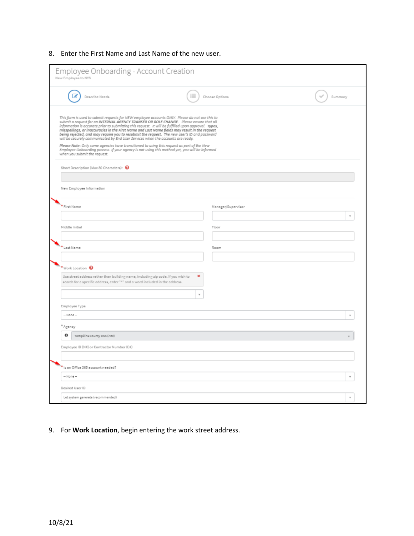## 8. Enter the First Name and Last Name of the new user.

| Employee Onboarding - Account Creation<br>New Employee to NYS                                                                                                                                                                                                                                                                                                                                                                                                                                                                                                                                                                                                                                                                                                                                                        |   |                    |         |
|----------------------------------------------------------------------------------------------------------------------------------------------------------------------------------------------------------------------------------------------------------------------------------------------------------------------------------------------------------------------------------------------------------------------------------------------------------------------------------------------------------------------------------------------------------------------------------------------------------------------------------------------------------------------------------------------------------------------------------------------------------------------------------------------------------------------|---|--------------------|---------|
| Describe Needs                                                                                                                                                                                                                                                                                                                                                                                                                                                                                                                                                                                                                                                                                                                                                                                                       |   | Choose Options     | Summary |
| This form is used to submit requests for NEW employee accounts ONLY. Please do not use this to<br>submit a request for an INTERNAL AGENCY TRANSER OR ROLE CHANGE. Please ensure that all<br>information is accurate prior to submitting this request. It will be fulfilled upon approval. Typos,<br>misspellings, or inaccuracies in the First Name and Last Name fields may result in the request<br>being rejected, and may require you to resubmit the request. The new user's ID and password<br>will be securely communicated by End User Services when the accounts are ready.<br>Please Note: Only some agencies have transitioned to using this request as part of the New<br>Employee Onboarding process. If your agency is not using this method yet, you will be informed<br>when you submit the request. |   |                    |         |
| Short Description (Max 80 Characters): <sup>8</sup>                                                                                                                                                                                                                                                                                                                                                                                                                                                                                                                                                                                                                                                                                                                                                                  |   |                    |         |
| New Employee Information                                                                                                                                                                                                                                                                                                                                                                                                                                                                                                                                                                                                                                                                                                                                                                                             |   |                    |         |
|                                                                                                                                                                                                                                                                                                                                                                                                                                                                                                                                                                                                                                                                                                                                                                                                                      |   |                    |         |
| <sup>*</sup> First Name                                                                                                                                                                                                                                                                                                                                                                                                                                                                                                                                                                                                                                                                                                                                                                                              |   | Manager/Supervisor |         |
| Middle Initial                                                                                                                                                                                                                                                                                                                                                                                                                                                                                                                                                                                                                                                                                                                                                                                                       |   | Floor              |         |
|                                                                                                                                                                                                                                                                                                                                                                                                                                                                                                                                                                                                                                                                                                                                                                                                                      |   |                    |         |
| * Last Name                                                                                                                                                                                                                                                                                                                                                                                                                                                                                                                                                                                                                                                                                                                                                                                                          |   | Room               |         |
| *Work Location <sup>@</sup>                                                                                                                                                                                                                                                                                                                                                                                                                                                                                                                                                                                                                                                                                                                                                                                          |   |                    |         |
| Use street address rather than building name, including zip code. If you wish to<br>search for a specific address, enter "+" and a word included in the address.                                                                                                                                                                                                                                                                                                                                                                                                                                                                                                                                                                                                                                                     | × |                    |         |
|                                                                                                                                                                                                                                                                                                                                                                                                                                                                                                                                                                                                                                                                                                                                                                                                                      |   |                    |         |
| Employee Type<br>-- None --                                                                                                                                                                                                                                                                                                                                                                                                                                                                                                                                                                                                                                                                                                                                                                                          |   |                    |         |
| * Agency                                                                                                                                                                                                                                                                                                                                                                                                                                                                                                                                                                                                                                                                                                                                                                                                             |   |                    |         |
| Θ<br>Tompkins County DSS (A50)                                                                                                                                                                                                                                                                                                                                                                                                                                                                                                                                                                                                                                                                                                                                                                                       |   |                    |         |
| Employee ID (N#) or Contractor Number (C#)                                                                                                                                                                                                                                                                                                                                                                                                                                                                                                                                                                                                                                                                                                                                                                           |   |                    |         |
|                                                                                                                                                                                                                                                                                                                                                                                                                                                                                                                                                                                                                                                                                                                                                                                                                      |   |                    |         |
| Is an Office 365 account needed?                                                                                                                                                                                                                                                                                                                                                                                                                                                                                                                                                                                                                                                                                                                                                                                     |   |                    |         |
| -- None --                                                                                                                                                                                                                                                                                                                                                                                                                                                                                                                                                                                                                                                                                                                                                                                                           |   |                    |         |
| Desired User ID                                                                                                                                                                                                                                                                                                                                                                                                                                                                                                                                                                                                                                                                                                                                                                                                      |   |                    |         |

9. For **Work Location**, begin entering the work street address.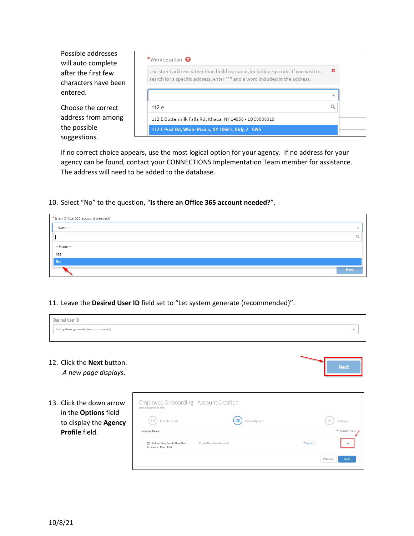Possible addresses will auto complete after the first few characters have been entered.

Choose the correct address from among the possible suggestions.

| × |
|---|
| 业 |
|   |
|   |
|   |

If no correct choice appears, use the most logical option for your agency. If no address for your agency can be found, contact your CONNECTIONS Implementation Team member for assistance. The address will need to be added to the database.

10. Select "No" to the question, "**Is there an Office 365 account needed?**".

| * Is an Office 365 account needed? |             |
|------------------------------------|-------------|
| $-$ None $-$                       |             |
|                                    |             |
| -- None --                         |             |
| Yes                                |             |
| <b>No</b>                          |             |
|                                    | <b>Next</b> |

#### 11. Leave the **Desired User ID** field set to "Let system generate (recommended)".

| Jacirad Hear IP                   |  |
|-----------------------------------|--|
| Let system generate (recommended) |  |
|                                   |  |

12. Click the **Next** button.

*A new page displays*.

13. Click the down arrow in the **Options** field to display the **Agency Profile** field.

| C<br>Describe Needs                                |                          | ≣<br>Choose Options |           | Summary            |
|----------------------------------------------------|--------------------------|---------------------|-----------|--------------------|
| Included Items:                                    |                          |                     |           | * Mandatory Fields |
| Onboarding Create New User<br>Accounts - Non - EUS | Create New User Accounts |                     | * Options | $\checkmark$       |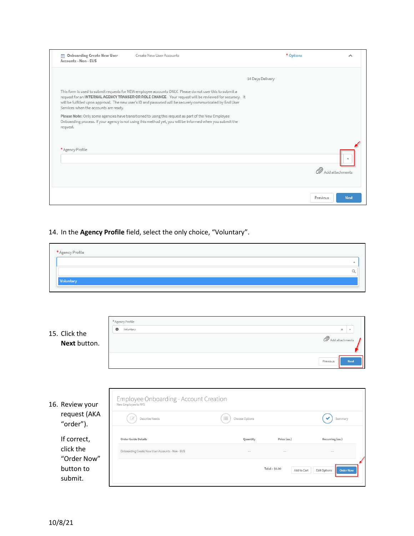| <b>Onboarding Create New User</b><br>₩<br>Accounts - Non - EUS | Create New User Accounts                                                                                                                                                                                                                                                                                                       | * Options        | ㅅ                 |
|----------------------------------------------------------------|--------------------------------------------------------------------------------------------------------------------------------------------------------------------------------------------------------------------------------------------------------------------------------------------------------------------------------|------------------|-------------------|
|                                                                |                                                                                                                                                                                                                                                                                                                                | 14 Days Delivery |                   |
| Services when the accounts are ready.                          | This form is used to submit requests for NEW employee accounts ONLY. Please do not user this to submit a<br>request for an INTERNAL AGENCY TRANSER OR ROLE CHANGE. Your request will be reviewed for accuracy. It<br>will be fulfilled upon approval. The new user's ID and password will be securely communicated by End User |                  |                   |
| request.                                                       | Please Note: Only some agencies have transitioned to using this request as part of the New Employee<br>Onboarding process. If your agency is not using this method yet, you will be informed when you submit the                                                                                                               |                  |                   |
| * Agency Profile                                               |                                                                                                                                                                                                                                                                                                                                |                  |                   |
|                                                                |                                                                                                                                                                                                                                                                                                                                |                  | 2 Add attachments |
|                                                                |                                                                                                                                                                                                                                                                                                                                | Previous         | <b>Next</b>       |

# 14. In the **Agency Profile** field, select the only choice, "Voluntary".

| * Agency Profile |  |  |  |
|------------------|--|--|--|
|                  |  |  |  |
|                  |  |  |  |
| Voluntary        |  |  |  |
|                  |  |  |  |

| 15. Click the<br>Next button.                | * Agency Profile<br>$\mathbf{\Theta}$<br>Voluntary                                                |                      |                              | $\pmb{\times}$<br>$\boldsymbol{\mathrm{v}}$<br>Add attachments<br>Previous<br><b>Next</b> |
|----------------------------------------------|---------------------------------------------------------------------------------------------------|----------------------|------------------------------|-------------------------------------------------------------------------------------------|
| 16. Review your<br>request (AKA<br>"order"). | Employee Onboarding - Account Creation<br>New Employee to NYS<br>$\overline{d}$<br>Describe Needs | 這<br>Choose Options  |                              | Summary                                                                                   |
| If correct,<br>click the                     | <b>Order Guide Details</b><br>Onboarding Create New User Accounts - Non - EUS                     | Quantity<br>$\cdots$ | Price (ea.)                  | Recurring (ea.)                                                                           |
| "Order Now"<br>button to<br>submit.          |                                                                                                   |                      | Total: \$0.00<br>Add to Cart | Edit Options<br><b>Order Now</b>                                                          |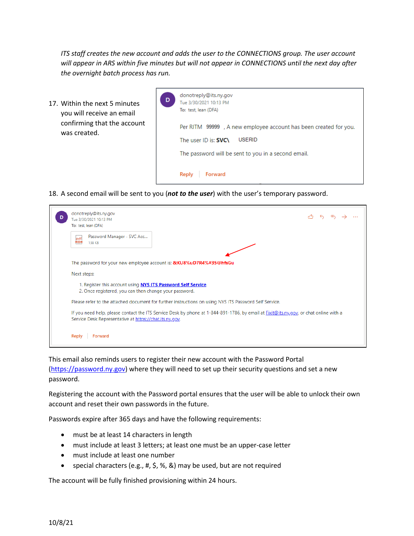*ITS staff creates the new account and adds the user to the CONNECTIONS group. The user account will appear in ARS within five minutes but will not appear in CONNECTIONS until the next day after the overnight batch process has run.* 

17. Within the next 5 minutes you will receive an email confirming that the account was created.



18. A second email will be sent to you (*not to the user*) with the user's temporary password.

| donotreply@its.ny.gov<br>Tue 3/30/2021 10:13 PM<br>To: test, lean (DFA)                                                                                                                          |  |  |  |
|--------------------------------------------------------------------------------------------------------------------------------------------------------------------------------------------------|--|--|--|
| Password Manager - SVC Acc<br>$pdf =$<br>138 KB                                                                                                                                                  |  |  |  |
| The password for your new employee account is: <b>&amp;KU8%uD7R4%#35@hfsGu</b>                                                                                                                   |  |  |  |
| Next steps:                                                                                                                                                                                      |  |  |  |
| 1. Register this account using <b>NYS ITS Password Self Service</b> .<br>2. Once registered, you can then change your password.                                                                  |  |  |  |
| Please refer to the attached document for further instructions on using NYS ITS Password Self Service.                                                                                           |  |  |  |
| If you need help, please contact the ITS Service Desk by phone at 1-844-891-1786, by email at Fixit@its.ny.gov, or chat online with a<br>Service Desk Representative at https://chat.its.ny.gov. |  |  |  |
| Forward<br>Reply                                                                                                                                                                                 |  |  |  |

This email also reminds users to register their new account with the Password Portal [\(https://password.ny.gov\)](https://password.ny.gov/) where they will need to set up their security questions and set a new password.

Registering the account with the Password portal ensures that the user will be able to unlock their own account and reset their own passwords in the future.

Passwords expire after 365 days and have the following requirements:

- must be at least 14 characters in length
- must include at least 3 letters; at least one must be an upper-case letter
- must include at least one number
- special characters (e.g., #, \$, %, &) may be used, but are not required

The account will be fully finished provisioning within 24 hours.